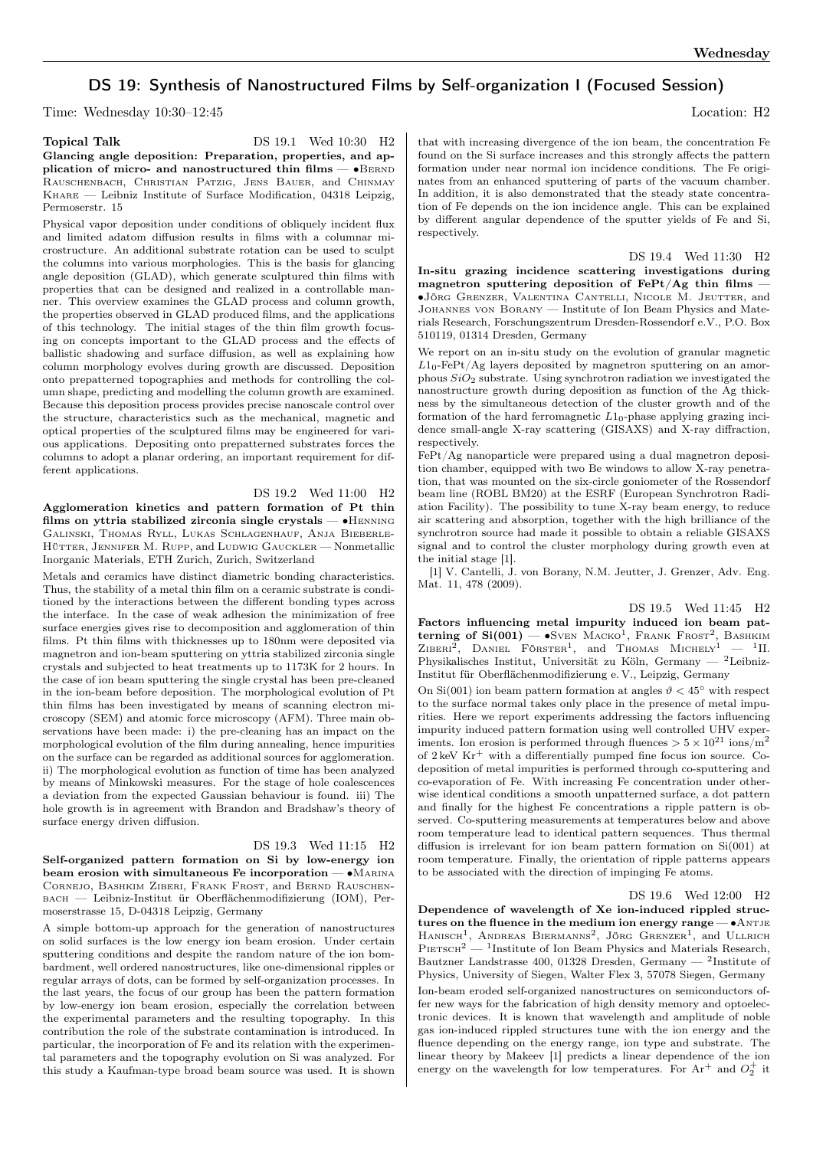## DS 19: Synthesis of Nanostructured Films by Self-organization I (Focused Session)

Time: Wednesday 10:30–12:45 Location: H2

Topical Talk DS 19.1 Wed 10:30 H<sub>2</sub> Glancing angle deposition: Preparation, properties, and application of micro- and nanostructured thin films — •BERND Rauschenbach, Christian Patzig, Jens Bauer, and Chinmay Khare — Leibniz Institute of Surface Modification, 04318 Leipzig, Permoserstr. 15

Physical vapor deposition under conditions of obliquely incident flux and limited adatom diffusion results in films with a columnar microstructure. An additional substrate rotation can be used to sculpt the columns into various morphologies. This is the basis for glancing angle deposition (GLAD), which generate sculptured thin films with properties that can be designed and realized in a controllable manner. This overview examines the GLAD process and column growth, the properties observed in GLAD produced films, and the applications of this technology. The initial stages of the thin film growth focusing on concepts important to the GLAD process and the effects of ballistic shadowing and surface diffusion, as well as explaining how column morphology evolves during growth are discussed. Deposition onto prepatterned topographies and methods for controlling the column shape, predicting and modelling the column growth are examined. Because this deposition process provides precise nanoscale control over the structure, characteristics such as the mechanical, magnetic and optical properties of the sculptured films may be engineered for various applications. Depositing onto prepatterned substrates forces the columns to adopt a planar ordering, an important requirement for different applications.

DS 19.2 Wed 11:00 H2

Agglomeration kinetics and pattern formation of Pt thin films on yttria stabilized zirconia single crystals — ∙Henning Galinski, Thomas Ryll, Lukas Schlagenhauf, Anja Bieberle-HÜTTER, JENNIFER M. RUPP, and LUDWIG GAUCKLER — Nonmetallic Inorganic Materials, ETH Zurich, Zurich, Switzerland

Metals and ceramics have distinct diametric bonding characteristics. Thus, the stability of a metal thin film on a ceramic substrate is conditioned by the interactions between the different bonding types across the interface. In the case of weak adhesion the minimization of free surface energies gives rise to decomposition and agglomeration of thin films. Pt thin films with thicknesses up to 180nm were deposited via magnetron and ion-beam sputtering on yttria stabilized zirconia single crystals and subjected to heat treatments up to 1173K for 2 hours. In the case of ion beam sputtering the single crystal has been pre-cleaned in the ion-beam before deposition. The morphological evolution of Pt thin films has been investigated by means of scanning electron microscopy (SEM) and atomic force microscopy (AFM). Three main observations have been made: i) the pre-cleaning has an impact on the morphological evolution of the film during annealing, hence impurities on the surface can be regarded as additional sources for agglomeration. ii) The morphological evolution as function of time has been analyzed by means of Minkowski measures. For the stage of hole coalescences a deviation from the expected Gaussian behaviour is found. iii) The hole growth is in agreement with Brandon and Bradshaw's theory of surface energy driven diffusion.

DS 19.3 Wed 11:15 H2 Self-organized pattern formation on Si by low-energy ion beam erosion with simultaneous Fe incorporation — ∙Marina Cornejo, Bashkim Ziberi, Frank Frost, and Bernd Rauschenbach — Leibniz-Institut ür Oberflächenmodifizierung (IOM), Permoserstrasse 15, D-04318 Leipzig, Germany

A simple bottom-up approach for the generation of nanostructures on solid surfaces is the low energy ion beam erosion. Under certain sputtering conditions and despite the random nature of the ion bombardment, well ordered nanostructures, like one-dimensional ripples or regular arrays of dots, can be formed by self-organization processes. In the last years, the focus of our group has been the pattern formation by low-energy ion beam erosion, especially the correlation between the experimental parameters and the resulting topography. In this contribution the role of the substrate contamination is introduced. In particular, the incorporation of Fe and its relation with the experimental parameters and the topography evolution on Si was analyzed. For this study a Kaufman-type broad beam source was used. It is shown

that with increasing divergence of the ion beam, the concentration Fe found on the Si surface increases and this strongly affects the pattern formation under near normal ion incidence conditions. The Fe originates from an enhanced sputtering of parts of the vacuum chamber. In addition, it is also demonstrated that the steady state concentration of Fe depends on the ion incidence angle. This can be explained by different angular dependence of the sputter yields of Fe and Si, respectively.

DS 19.4 Wed 11:30 H2 In-situ grazing incidence scattering investigations during magnetron sputtering deposition of  $FePt/Ag$  thin films — ∙Jörg Grenzer, Valentina Cantelli, Nicole M. Jeutter, and Johannes von Borany — Institute of Ion Beam Physics and Materials Research, Forschungszentrum Dresden-Rossendorf e.V., P.O. Box 510119, 01314 Dresden, Germany

We report on an in-situ study on the evolution of granular magnetic  $L1_0$ -FePt/Ag layers deposited by magnetron sputtering on an amorphous  $SiO<sub>2</sub>$  substrate. Using synchrotron radiation we investigated the nanostructure growth during deposition as function of the Ag thickness by the simultaneous detection of the cluster growth and of the formation of the hard ferromagnetic  $L1_0$ -phase applying grazing incidence small-angle X-ray scattering (GISAXS) and X-ray diffraction, respectively.

FePt/Ag nanoparticle were prepared using a dual magnetron deposition chamber, equipped with two Be windows to allow X-ray penetration, that was mounted on the six-circle goniometer of the Rossendorf beam line (ROBL BM20) at the ESRF (European Synchrotron Radiation Facility). The possibility to tune X-ray beam energy, to reduce air scattering and absorption, together with the high brilliance of the synchrotron source had made it possible to obtain a reliable GISAXS signal and to control the cluster morphology during growth even at the initial stage [1].

[1] V. Cantelli, J. von Borany, N.M. Jeutter, J. Grenzer, Adv. Eng. Mat. 11, 478 (2009).

DS 19.5 Wed 11:45 H2

Factors influencing metal impurity induced ion beam patterning of  $Si(001)$  —  $\bullet$ Sven Macko<sup>1</sup>, Frank Frost<sup>2</sup>, Bashkim ZIBERI<sup>2</sup>, DANIEL FÖRSTER<sup>1</sup>, and Thomas Michely<sup>1</sup> - <sup>1</sup>II. Physikalisches Institut, Universität zu Köln, Germany — <sup>2</sup>Leibniz-Institut für Oberflächenmodifizierung e. V., Leipzig, Germany

On Si(001) ion beam pattern formation at angles  $\vartheta < 45^{\circ}$  with respect to the surface normal takes only place in the presence of metal impurities. Here we report experiments addressing the factors influencing impurity induced pattern formation using well controlled UHV experiments. Ion erosion is performed through fluences  $> 5 \times 10^{21}$  ions/m<sup>2</sup> of  $2 \text{ keV Kr}^+$  with a differentially pumped fine focus ion source. Codeposition of metal impurities is performed through co-sputtering and co-evaporation of Fe. With increasing Fe concentration under otherwise identical conditions a smooth unpatterned surface, a dot pattern and finally for the highest Fe concentrations a ripple pattern is observed. Co-sputtering measurements at temperatures below and above room temperature lead to identical pattern sequences. Thus thermal diffusion is irrelevant for ion beam pattern formation on Si(001) at room temperature. Finally, the orientation of ripple patterns appears to be associated with the direction of impinging Fe atoms.

DS 19.6 Wed 12:00 H2

Dependence of wavelength of Xe ion-induced rippled structures on the fluence in the medium ion energy range —  $\bullet$ ANTJE HANISCH<sup>1</sup>, ANDREAS BIERMANNS<sup>2</sup>, JÖRG GRENZER<sup>1</sup>, and ULLRICH  $P$ IETSCH<sup>2</sup> — <sup>1</sup>Institute of Ion Beam Physics and Materials Research, Bautzner Landstrasse 400, 01328 Dresden, Germany — <sup>2</sup> Institute of Physics, University of Siegen, Walter Flex 3, 57078 Siegen, Germany Ion-beam eroded self-organized nanostructures on semiconductors offer new ways for the fabrication of high density memory and optoelectronic devices. It is known that wavelength and amplitude of noble gas ion-induced rippled structures tune with the ion energy and the fluence depending on the energy range, ion type and substrate. The linear theory by Makeev [1] predicts a linear dependence of the ion energy on the wavelength for low temperatures. For Ar<sup>+</sup> and  $O_2^+$  it